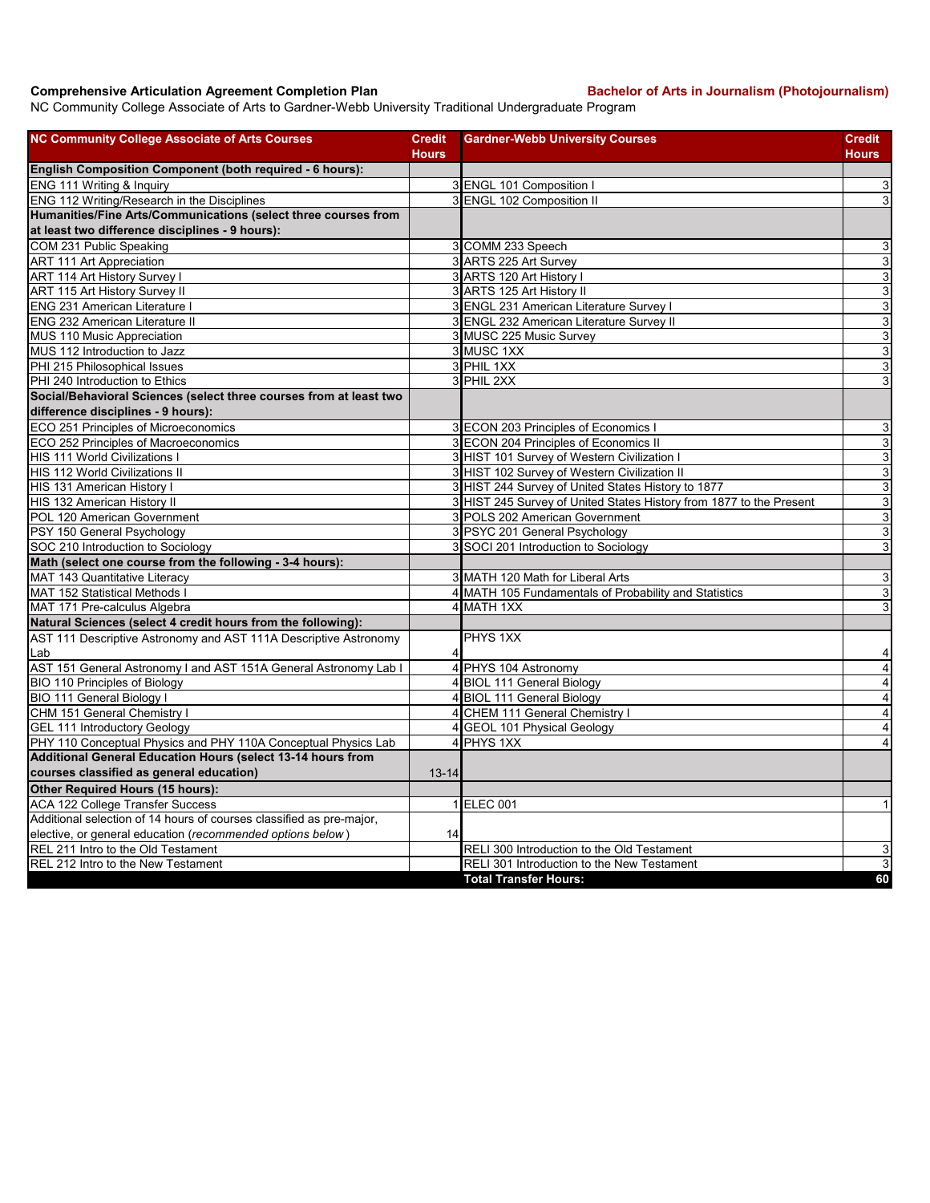## **Comprehensive Articulation Agreement Completion Plan Bachelor of Arts in Journalism (Photojournalism)**

NC Community College Associate of Arts to Gardner-Webb University Traditional Undergraduate Program

| <b>NC Community College Associate of Arts Courses</b>                | <b>Credit</b>  | <b>Gardner-Webb University Courses</b>                              | Credit                    |
|----------------------------------------------------------------------|----------------|---------------------------------------------------------------------|---------------------------|
|                                                                      | <b>Hours</b>   |                                                                     | Hours                     |
| <b>English Composition Component (both required - 6 hours):</b>      |                |                                                                     |                           |
| ENG 111 Writing & Inquiry                                            |                | 3 ENGL 101 Composition I                                            | 3                         |
| ENG 112 Writing/Research in the Disciplines                          |                | 3 ENGL 102 Composition II                                           | 3                         |
| Humanities/Fine Arts/Communications (select three courses from       |                |                                                                     |                           |
| at least two difference disciplines - 9 hours):                      |                |                                                                     |                           |
| COM 231 Public Speaking                                              |                | 3 COMM 233 Speech                                                   | 3                         |
| <b>ART 111 Art Appreciation</b>                                      |                | 3 ARTS 225 Art Survey                                               | $\overline{3}$            |
| <b>ART 114 Art History Survey I</b>                                  |                | 3 ARTS 120 Art History I                                            | $\ensuremath{\mathsf{3}}$ |
| ART 115 Art History Survey II                                        |                | 3 ARTS 125 Art History II                                           | $\overline{3}$            |
| <b>ENG 231 American Literature I</b>                                 |                | 3 ENGL 231 American Literature Survey I                             | $\overline{3}$            |
| ENG 232 American Literature II                                       |                | 3 ENGL 232 American Literature Survey II                            | 3                         |
| MUS 110 Music Appreciation                                           |                | 3 MUSC 225 Music Survey                                             | $\mathbf{3}$              |
| MUS 112 Introduction to Jazz                                         |                | 3 MUSC 1XX                                                          | ω                         |
| PHI 215 Philosophical Issues                                         |                | 3 PHIL 1XX                                                          | $\ensuremath{\mathsf{3}}$ |
| PHI 240 Introduction to Ethics                                       |                | 3 PHIL 2XX                                                          | 3                         |
| Social/Behavioral Sciences (select three courses from at least two   |                |                                                                     |                           |
| difference disciplines - 9 hours):                                   |                |                                                                     |                           |
| ECO 251 Principles of Microeconomics                                 |                | 3 ECON 203 Principles of Economics I                                | 3                         |
| ECO 252 Principles of Macroeconomics                                 |                | 3 ECON 204 Principles of Economics II                               | $\ensuremath{\mathsf{3}}$ |
| <b>HIS 111 World Civilizations I</b>                                 |                | 3 HIST 101 Survey of Western Civilization I                         | $\mathbf{3}$              |
| HIS 112 World Civilizations II                                       |                | 3 HIST 102 Survey of Western Civilization II                        | $\ensuremath{\mathsf{3}}$ |
| HIS 131 American History I                                           |                | 3 HIST 244 Survey of United States History to 1877                  | 3                         |
| HIS 132 American History II                                          |                | 3 HIST 245 Survey of United States History from 1877 to the Present | 3                         |
| POL 120 American Government                                          |                | 3 POLS 202 American Government                                      | $\mathbf{3}$              |
| PSY 150 General Psychology                                           |                | 3 PSYC 201 General Psychology                                       | ω                         |
| SOC 210 Introduction to Sociology                                    |                | 3 SOCI 201 Introduction to Sociology                                | 3                         |
| Math (select one course from the following - 3-4 hours):             |                |                                                                     |                           |
| MAT 143 Quantitative Literacy                                        |                | 3 MATH 120 Math for Liberal Arts                                    | دن                        |
| <b>MAT 152 Statistical Methods I</b>                                 |                | 4 MATH 105 Fundamentals of Probability and Statistics               | 3                         |
| MAT 171 Pre-calculus Algebra                                         |                | 4 MATH 1XX                                                          | 3                         |
| Natural Sciences (select 4 credit hours from the following):         |                |                                                                     |                           |
| AST 111 Descriptive Astronomy and AST 111A Descriptive Astronomy     |                | PHYS 1XX                                                            |                           |
| Lab                                                                  | 4              |                                                                     | 4                         |
| AST 151 General Astronomy I and AST 151A General Astronomy Lab I     | $\overline{4}$ | PHYS 104 Astronomy                                                  | $\overline{\mathbf{4}}$   |
| <b>BIO 110 Principles of Biology</b>                                 |                | 4 BIOL 111 General Biology                                          | $\overline{\mathbf{4}}$   |
| BIO 111 General Biology I                                            |                | 4 BIOL 111 General Biology                                          | $\overline{\mathbf{4}}$   |
| CHM 151 General Chemistry I                                          | 4              | CHEM 111 General Chemistry I                                        | $\overline{\mathbf{4}}$   |
| <b>GEL 111 Introductory Geology</b>                                  |                | 4 GEOL 101 Physical Geology                                         | 4                         |
| PHY 110 Conceptual Physics and PHY 110A Conceptual Physics Lab       |                | 4 PHYS 1XX                                                          | $\overline{4}$            |
| Additional General Education Hours (select 13-14 hours from          |                |                                                                     |                           |
| courses classified as general education)                             | $13 - 14$      |                                                                     |                           |
| Other Required Hours (15 hours):                                     |                |                                                                     |                           |
| <b>ACA 122 College Transfer Success</b>                              |                | 1 ELEC 001                                                          | 1                         |
| Additional selection of 14 hours of courses classified as pre-major, |                |                                                                     |                           |
| elective, or general education (recommended options below)           | 14             |                                                                     |                           |
| REL 211 Intro to the Old Testament                                   |                | RELI 300 Introduction to the Old Testament                          | 3                         |
| REL 212 Intro to the New Testament                                   |                | RELI 301 Introduction to the New Testament                          | 3                         |
|                                                                      |                | <b>Total Transfer Hours:</b>                                        | 60                        |